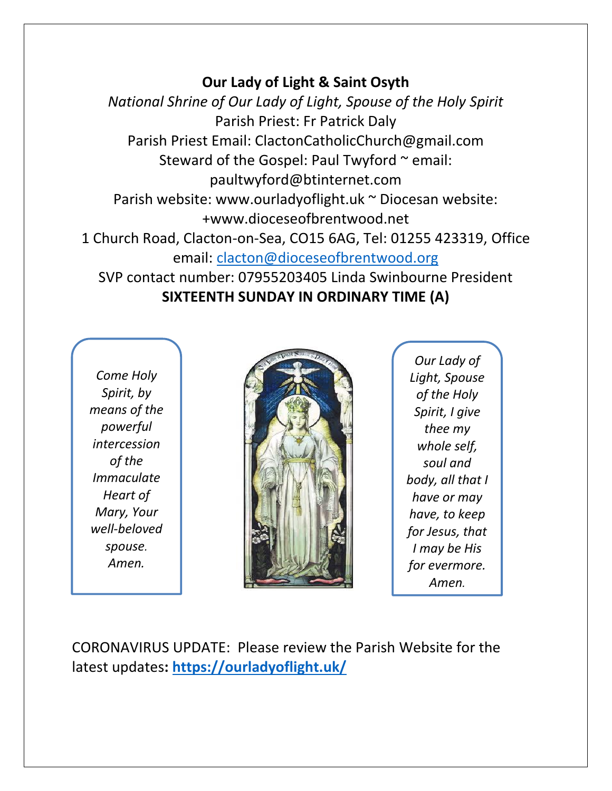## **Our Lady of Light & Saint Osyth**

*National Shrine of Our Lady of Light, Spouse of the Holy Spirit* Parish Priest: Fr Patrick Daly Parish Priest Email: ClactonCatholicChurch@gmail.com Steward of the Gospel: Paul Twyford  $\sim$  email: paultwyford@btinternet.com Parish website: www.ourladyoflight.uk ~ Diocesan website: +www.dioceseofbrentwood.net 1 Church Road, Clacton-on-Sea, CO15 6AG, Tel: 01255 423319, Office email: [clacton@dioceseofbrentwood.org](mailto:clacton@dioceseofbrentwood.org) SVP contact number: 07955203405 Linda Swinbourne President **SIXTEENTH SUNDAY IN ORDINARY TIME (A)**

*Come Holy Spirit, by means of the powerful intercession of the Immaculate Heart of Mary, Your well-beloved spouse. Amen.*



*Our Lady of Light, Spouse of the Holy Spirit, I give thee my whole self, soul and body, all that I have or may have, to keep for Jesus, that I may be His for evermore. Amen.*

CORONAVIRUS UPDATE: Please review the Parish Website for the latest updates**:<https://ourladyoflight.uk/>**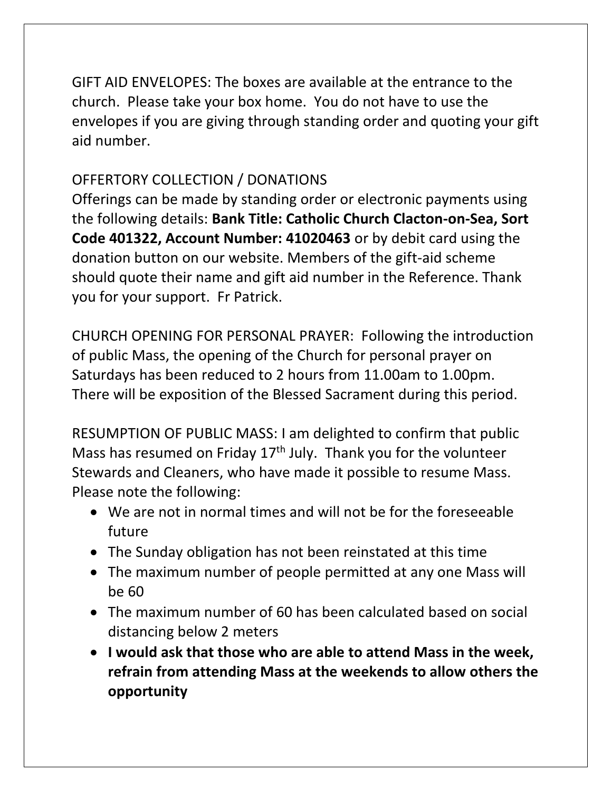GIFT AID ENVELOPES: The boxes are available at the entrance to the church. Please take your box home. You do not have to use the envelopes if you are giving through standing order and quoting your gift aid number.

## OFFERTORY COLLECTION / DONATIONS

Offerings can be made by standing order or electronic payments using the following details: **Bank Title: Catholic Church Clacton-on-Sea, Sort Code 401322, Account Number: 41020463** or by debit card using the donation button on our website. Members of the gift-aid scheme should quote their name and gift aid number in the Reference. Thank you for your support. Fr Patrick.

CHURCH OPENING FOR PERSONAL PRAYER: Following the introduction of public Mass, the opening of the Church for personal prayer on Saturdays has been reduced to 2 hours from 11.00am to 1.00pm. There will be exposition of the Blessed Sacrament during this period.

RESUMPTION OF PUBLIC MASS: I am delighted to confirm that public Mass has resumed on Friday  $17<sup>th</sup>$  July. Thank you for the volunteer Stewards and Cleaners, who have made it possible to resume Mass. Please note the following:

- We are not in normal times and will not be for the foreseeable future
- The Sunday obligation has not been reinstated at this time
- The maximum number of people permitted at any one Mass will be 60
- The maximum number of 60 has been calculated based on social distancing below 2 meters
- **I would ask that those who are able to attend Mass in the week, refrain from attending Mass at the weekends to allow others the opportunity**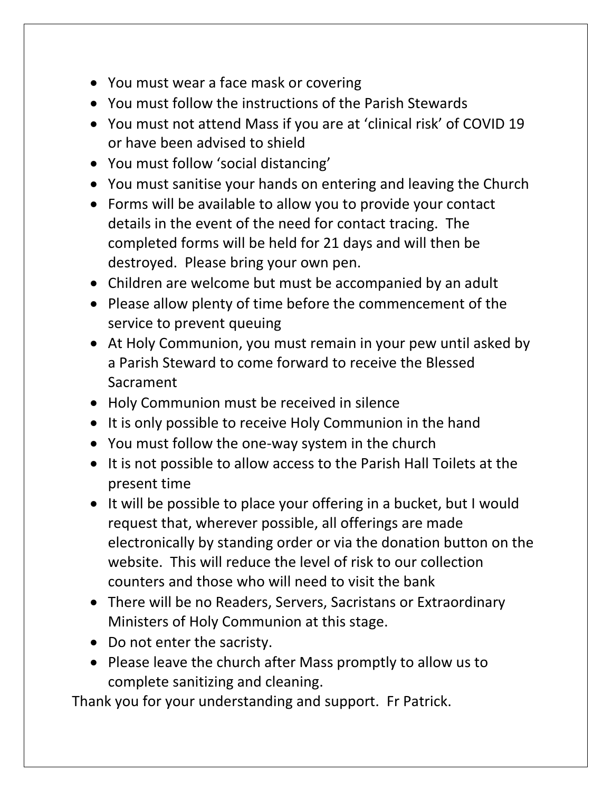- You must wear a face mask or covering
- You must follow the instructions of the Parish Stewards
- You must not attend Mass if you are at 'clinical risk' of COVID 19 or have been advised to shield
- You must follow 'social distancing'
- You must sanitise your hands on entering and leaving the Church
- Forms will be available to allow you to provide your contact details in the event of the need for contact tracing. The completed forms will be held for 21 days and will then be destroyed. Please bring your own pen.
- Children are welcome but must be accompanied by an adult
- Please allow plenty of time before the commencement of the service to prevent queuing
- At Holy Communion, you must remain in your pew until asked by a Parish Steward to come forward to receive the Blessed Sacrament
- Holy Communion must be received in silence
- It is only possible to receive Holy Communion in the hand
- You must follow the one-way system in the church
- It is not possible to allow access to the Parish Hall Toilets at the present time
- It will be possible to place your offering in a bucket, but I would request that, wherever possible, all offerings are made electronically by standing order or via the donation button on the website. This will reduce the level of risk to our collection counters and those who will need to visit the bank
- There will be no Readers, Servers, Sacristans or Extraordinary Ministers of Holy Communion at this stage.
- Do not enter the sacristy.
- Please leave the church after Mass promptly to allow us to complete sanitizing and cleaning.

Thank you for your understanding and support. Fr Patrick.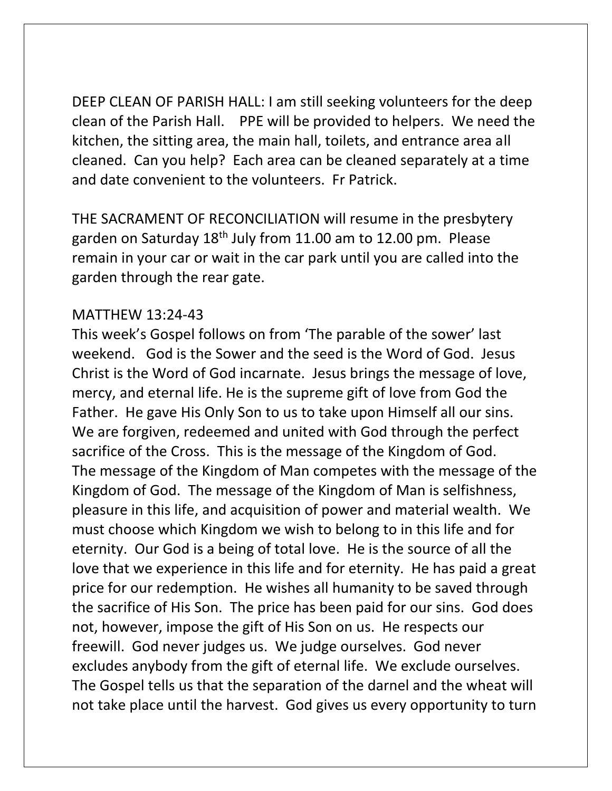DEEP CLEAN OF PARISH HALL: I am still seeking volunteers for the deep clean of the Parish Hall. PPE will be provided to helpers. We need the kitchen, the sitting area, the main hall, toilets, and entrance area all cleaned. Can you help? Each area can be cleaned separately at a time and date convenient to the volunteers. Fr Patrick.

THE SACRAMENT OF RECONCILIATION will resume in the presbytery garden on Saturday 18th July from 11.00 am to 12.00 pm. Please remain in your car or wait in the car park until you are called into the garden through the rear gate.

## MATTHEW 13:24-43

This week's Gospel follows on from 'The parable of the sower' last weekend. God is the Sower and the seed is the Word of God. Jesus Christ is the Word of God incarnate. Jesus brings the message of love, mercy, and eternal life. He is the supreme gift of love from God the Father. He gave His Only Son to us to take upon Himself all our sins. We are forgiven, redeemed and united with God through the perfect sacrifice of the Cross. This is the message of the Kingdom of God. The message of the Kingdom of Man competes with the message of the Kingdom of God. The message of the Kingdom of Man is selfishness, pleasure in this life, and acquisition of power and material wealth. We must choose which Kingdom we wish to belong to in this life and for eternity. Our God is a being of total love. He is the source of all the love that we experience in this life and for eternity. He has paid a great price for our redemption. He wishes all humanity to be saved through the sacrifice of His Son. The price has been paid for our sins. God does not, however, impose the gift of His Son on us. He respects our freewill. God never judges us. We judge ourselves. God never excludes anybody from the gift of eternal life. We exclude ourselves. The Gospel tells us that the separation of the darnel and the wheat will not take place until the harvest. God gives us every opportunity to turn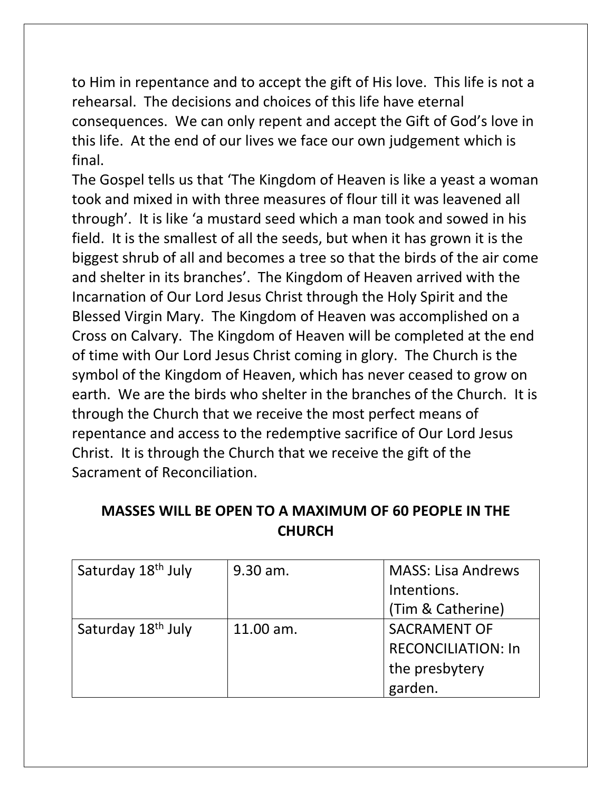to Him in repentance and to accept the gift of His love. This life is not a rehearsal. The decisions and choices of this life have eternal consequences. We can only repent and accept the Gift of God's love in this life. At the end of our lives we face our own judgement which is final.

The Gospel tells us that 'The Kingdom of Heaven is like a yeast a woman took and mixed in with three measures of flour till it was leavened all through'. It is like 'a mustard seed which a man took and sowed in his field. It is the smallest of all the seeds, but when it has grown it is the biggest shrub of all and becomes a tree so that the birds of the air come and shelter in its branches'. The Kingdom of Heaven arrived with the Incarnation of Our Lord Jesus Christ through the Holy Spirit and the Blessed Virgin Mary. The Kingdom of Heaven was accomplished on a Cross on Calvary. The Kingdom of Heaven will be completed at the end of time with Our Lord Jesus Christ coming in glory. The Church is the symbol of the Kingdom of Heaven, which has never ceased to grow on earth. We are the birds who shelter in the branches of the Church. It is through the Church that we receive the most perfect means of repentance and access to the redemptive sacrifice of Our Lord Jesus Christ. It is through the Church that we receive the gift of the Sacrament of Reconciliation.

| MASSES WILL BE OPEN TO A MAXIMUM OF 60 PEOPLE IN THE |
|------------------------------------------------------|
| <b>CHURCH</b>                                        |

| Saturday 18 <sup>th</sup> July | $9.30$ am.  | <b>MASS: Lisa Andrews</b> |
|--------------------------------|-------------|---------------------------|
|                                |             | Intentions.               |
|                                |             | (Tim & Catherine)         |
| Saturday 18 <sup>th</sup> July | $11.00$ am. | <b>SACRAMENT OF</b>       |
|                                |             | <b>RECONCILIATION: In</b> |
|                                |             | the presbytery            |
|                                |             | garden.                   |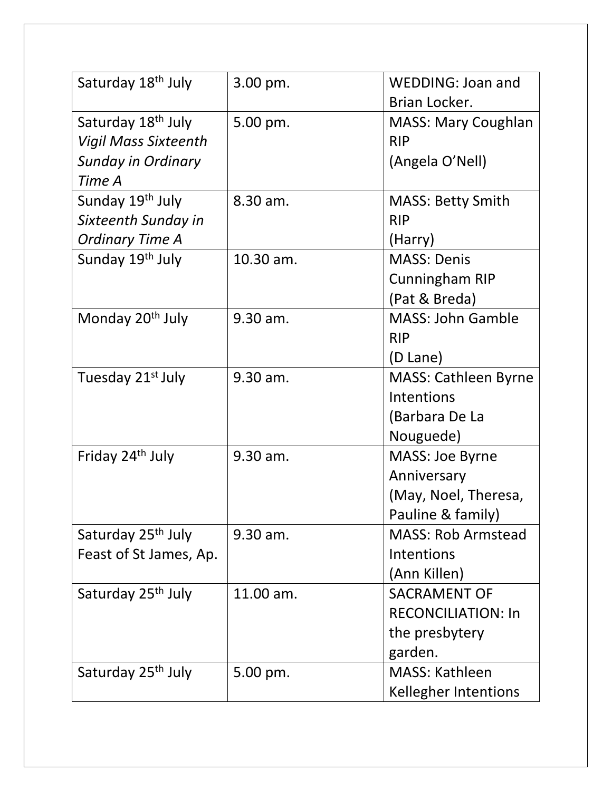| Saturday 18 <sup>th</sup> July                                | 3.00 pm.   | <b>WEDDING: Joan and</b><br>Brian Locker. |
|---------------------------------------------------------------|------------|-------------------------------------------|
| Saturday 18 <sup>th</sup> July<br><b>Vigil Mass Sixteenth</b> | 5.00 pm.   | <b>MASS: Mary Coughlan</b><br><b>RIP</b>  |
| <b>Sunday in Ordinary</b>                                     |            | (Angela O'Nell)                           |
| Time A                                                        |            |                                           |
| Sunday 19th July                                              | $8.30$ am. | <b>MASS: Betty Smith</b>                  |
| Sixteenth Sunday in                                           |            | <b>RIP</b>                                |
| <b>Ordinary Time A</b>                                        |            | (Harry)                                   |
| Sunday 19th July                                              | 10.30 am.  | <b>MASS: Denis</b>                        |
|                                                               |            | <b>Cunningham RIP</b>                     |
|                                                               |            | (Pat & Breda)                             |
| Monday 20 <sup>th</sup> July                                  | 9.30 am.   | <b>MASS: John Gamble</b>                  |
|                                                               |            | <b>RIP</b>                                |
|                                                               |            | (D Lane)                                  |
| Tuesday 21 <sup>st</sup> July                                 | 9.30 am.   | <b>MASS: Cathleen Byrne</b>               |
|                                                               |            | Intentions                                |
|                                                               |            | (Barbara De La                            |
|                                                               |            | Nouguede)                                 |
| Friday 24 <sup>th</sup> July                                  | 9.30 am.   | MASS: Joe Byrne                           |
|                                                               |            | Anniversary                               |
|                                                               |            | (May, Noel, Theresa,                      |
|                                                               |            | Pauline & family)                         |
| Saturday 25 <sup>th</sup> July                                | 9.30 am.   | <b>MASS: Rob Armstead</b>                 |
| Feast of St James, Ap.                                        |            | Intentions                                |
|                                                               |            | (Ann Killen)                              |
| Saturday 25 <sup>th</sup> July                                | 11.00 am.  | <b>SACRAMENT OF</b>                       |
|                                                               |            | <b>RECONCILIATION: In</b>                 |
|                                                               |            | the presbytery                            |
|                                                               |            | garden.                                   |
| Saturday 25 <sup>th</sup> July                                | 5.00 pm.   | <b>MASS: Kathleen</b>                     |
|                                                               |            | Kellegher Intentions                      |